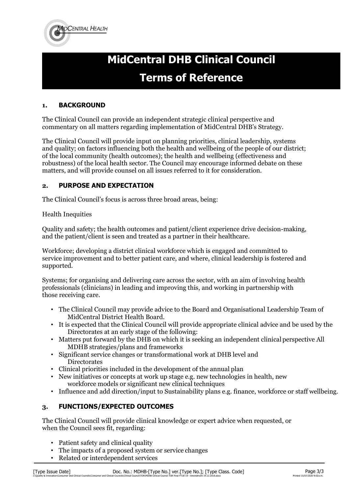

# **MidCentral DHB Clinical Council Terms of Reference**

# **1. BACKGROUND**

The Clinical Council can provide an independent strategic clinical perspective and commentary on all matters regarding implementation of MidCentral DHB's Strategy.

The Clinical Council will provide input on planning priorities, clinical leadership, systems and quality; on factors influencing both the health and wellbeing of the people of our district; of the local community (health outcomes); the health and wellbeing (effectiveness and robustness) of the local health sector. The Council may encourage informed debate on these matters, and will provide counsel on all issues referred to it for consideration.

## **2. PURPOSE AND EXPECTATION**

The Clinical Council's focus is across three broad areas, being:

### Health Inequities

Quality and safety; the health outcomes and patient/client experience drive decision-making, and the patient/client is seen and treated as a partner in their healthcare.

Workforce; developing a district clinical workforce which is engaged and committed to service improvement and to better patient care, and where, clinical leadership is fostered and supported.

Systems; for organising and delivering care across the sector, with an aim of involving health professionals (clinicians) in leading and improving this, and working in partnership with those receiving care.

- The Clinical Council may provide advice to the Board and Organisational Leadership Team of MidCentral District Health Board.
- It is expected that the Clinical Council will provide appropriate clinical advice and be used by the Directorates at an early stage of the following:
- Matters put forward by the DHB on which it is seeking an independent clinical perspective All MDHB strategies/plans and frameworks
- Significant service changes or transformational work at DHB level and **Directorates**
- Clinical priorities included in the development of the annual plan
- New initiatives or concepts at work up stage e.g. new technologies in health, new workforce models or significant new clinical techniques
- Influence and add direction/input to Sustainability plans e.g. finance, workforce or staff wellbeing.

## **3. FUNCTIONS/EXPECTED OUTCOMES**

The Clinical Council will provide clinical knowledge or expert advice when requested, or when the Council sees fit, regarding:

- Patient safety and clinical quality
- The impacts of a proposed system or service changes
- Related or interdependent services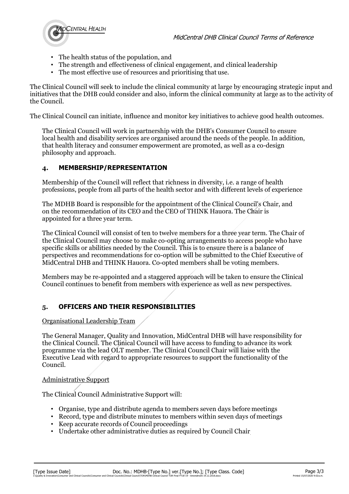

- The health status of the population, and
- The strength and effectiveness of clinical engagement, and clinical leadership
- The most effective use of resources and prioritising that use.

The Clinical Council will seek to include the clinical community at large by encouraging strategic input and initiatives that the DHB could consider and also, inform the clinical community at large as to the activity of the Council.

The Clinical Council can initiate, influence and monitor key initiatives to achieve good health outcomes.

The Clinical Council will work in partnership with the DHB's Consumer Council to ensure local health and disability services are organised around the needs of the people. In addition, that health literacy and consumer empowerment are promoted, as well as a co-design philosophy and approach.

## **4. MEMBERSHIP/REPRESENTATION**

Membership of the Council will reflect that richness in diversity, i.e. a range of health professions, people from all parts of the health sector and with different levels of experience

The MDHB Board is responsible for the appointment of the Clinical Council's Chair, and on the recommendation of its CEO and the CEO of THINK Hauora. The Chair is appointed for a three year term.

The Clinical Council will consist of ten to twelve members for a three year term. The Chair of the Clinical Council may choose to make co-opting arrangements to access people who have specific skills or abilities needed by the Council. This is to ensure there is a balance of perspectives and recommendations for co-option will be submitted to the Chief Executive of MidCentral DHB and THINK Hauora. Co-opted members shall be voting members.

Members may be re-appointed and a staggered approach will be taken to ensure the Clinical Council continues to benefit from members with experience as well as new perspectives.

## **5. OFFICERS AND THEIR RESPONSIBILITIES**

#### Organisational Leadership Team

The General Manager, Quality and Innovation, MidCentral DHB will have responsibility for the Clinical Council. The Clinical Council will have access to funding to advance its work programme via the lead OLT member. The Clinical Council Chair will liaise with the Executive Lead with regard to appropriate resources to support the functionality of the Council.

#### Administrative Support

The Clinical Council Administrative Support will:

- Organise, type and distribute agenda to members seven days before meetings
- Record, type and distribute minutes to members within seven days of meetings
- Keep accurate records of Council proceedings
- Undertake other administrative duties as required by Council Chair